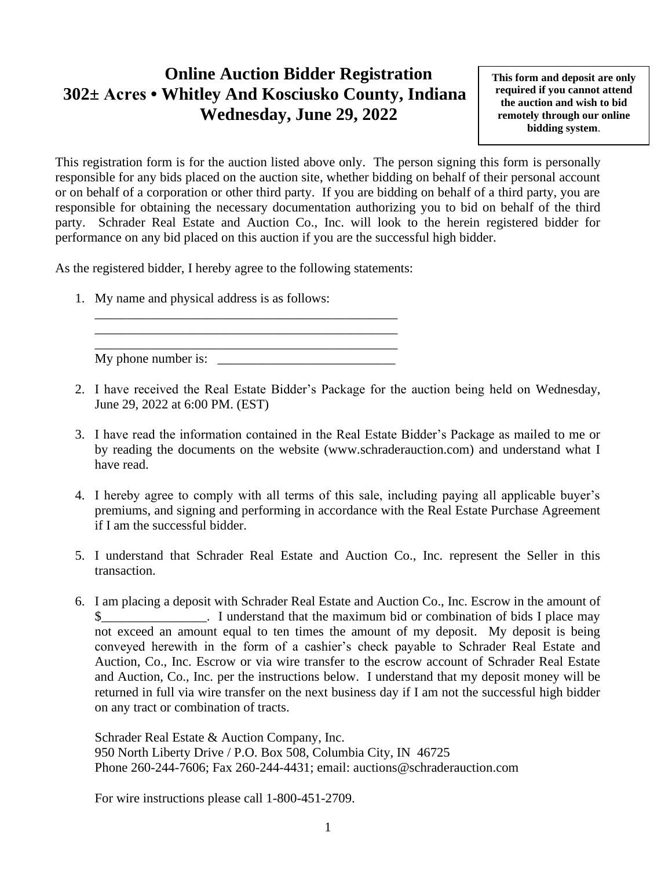## **Online Auction Bidder Registration 302± Acres • Whitley And Kosciusko County, Indiana Wednesday, June 29, 2022**

**This form and deposit are only required if you cannot attend the auction and wish to bid remotely through our online bidding system**.

This registration form is for the auction listed above only. The person signing this form is personally responsible for any bids placed on the auction site, whether bidding on behalf of their personal account or on behalf of a corporation or other third party. If you are bidding on behalf of a third party, you are responsible for obtaining the necessary documentation authorizing you to bid on behalf of the third party. Schrader Real Estate and Auction Co., Inc. will look to the herein registered bidder for performance on any bid placed on this auction if you are the successful high bidder.

As the registered bidder, I hereby agree to the following statements:

1. My name and physical address is as follows:

\_\_\_\_\_\_\_\_\_\_\_\_\_\_\_\_\_\_\_\_\_\_\_\_\_\_\_\_\_\_\_\_\_\_\_\_\_\_\_\_\_\_\_\_\_\_ My phone number is:

\_\_\_\_\_\_\_\_\_\_\_\_\_\_\_\_\_\_\_\_\_\_\_\_\_\_\_\_\_\_\_\_\_\_\_\_\_\_\_\_\_\_\_\_\_\_ \_\_\_\_\_\_\_\_\_\_\_\_\_\_\_\_\_\_\_\_\_\_\_\_\_\_\_\_\_\_\_\_\_\_\_\_\_\_\_\_\_\_\_\_\_\_

- 2. I have received the Real Estate Bidder's Package for the auction being held on Wednesday, June 29, 2022 at 6:00 PM. (EST)
- 3. I have read the information contained in the Real Estate Bidder's Package as mailed to me or by reading the documents on the website (www.schraderauction.com) and understand what I have read.
- 4. I hereby agree to comply with all terms of this sale, including paying all applicable buyer's premiums, and signing and performing in accordance with the Real Estate Purchase Agreement if I am the successful bidder.
- 5. I understand that Schrader Real Estate and Auction Co., Inc. represent the Seller in this transaction.
- 6. I am placing a deposit with Schrader Real Estate and Auction Co., Inc. Escrow in the amount of I understand that the maximum bid or combination of bids I place may not exceed an amount equal to ten times the amount of my deposit. My deposit is being conveyed herewith in the form of a cashier's check payable to Schrader Real Estate and Auction, Co., Inc. Escrow or via wire transfer to the escrow account of Schrader Real Estate and Auction, Co., Inc. per the instructions below. I understand that my deposit money will be returned in full via wire transfer on the next business day if I am not the successful high bidder on any tract or combination of tracts.

Schrader Real Estate & Auction Company, Inc. 950 North Liberty Drive / P.O. Box 508, Columbia City, IN 46725 Phone 260-244-7606; Fax 260-244-4431; email: auctions@schraderauction.com

For wire instructions please call 1-800-451-2709.